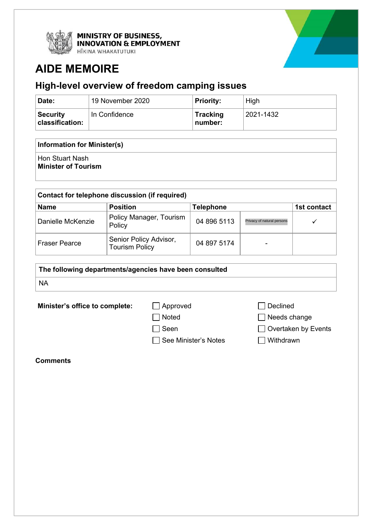

**MINISTRY OF BUSINESS,<br>INNOVATION & EMPLOYMENT** 

HĪKINA WHAKATUTUKI

# **AIDE MEMOIRE**

## **High-level overview of freedom camping issues**

| Date:                              | 19 November 2020 | <b>Priority:</b>           | High                 |
|------------------------------------|------------------|----------------------------|----------------------|
| <b>Security</b><br>classification: | In Confidence    | <b>Tracking</b><br>number: | $^{\circ}$ 2021-1432 |

### **Information for Minister(s)**

Hon Stuart Nash

**Minister of Tourism**

| Contact for telephone discussion (if required) |                                                 |                  |                            |             |  |  |  |
|------------------------------------------------|-------------------------------------------------|------------------|----------------------------|-------------|--|--|--|
| <b>Name</b>                                    | <b>Position</b>                                 | <b>Telephone</b> |                            | 1st contact |  |  |  |
| Danielle McKenzie                              | Policy Manager, Tourism<br>Policy               | 04 896 5113      | Privacy of natural persons |             |  |  |  |
| <b>Fraser Pearce</b>                           | Senior Policy Advisor,<br><b>Tourism Policy</b> | 04 897 5174      | ۰                          |             |  |  |  |

| The following departments/agencies have been consulted |  |  |
|--------------------------------------------------------|--|--|
| <b>NA</b>                                              |  |  |

**Minister's office to complete:** △ Approved △ △ Declined

- 
- 
- 
- $\Box$  See Minister's Notes  $\Box$  Withdrawn

□ Noted Needs change

Seen Overtaken by Events

**Comments**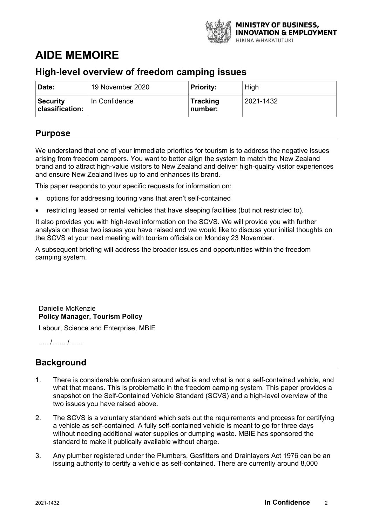

## **AIDE MEMOIRE**

## **High-level overview of freedom camping issues**

| 'Date:                             | 19 November 2020 | <b>Priority:</b>           | High      |
|------------------------------------|------------------|----------------------------|-----------|
| <b>Security</b><br>classification: | In Confidence    | <b>Tracking</b><br>number: | 2021-1432 |

## **Purpose**

We understand that one of your immediate priorities for tourism is to address the negative issues arising from freedom campers. You want to better align the system to match the New Zealand brand and to attract high-value visitors to New Zealand and deliver high-quality visitor experiences and ensure New Zealand lives up to and enhances its brand.

This paper responds to your specific requests for information on:

- options for addressing touring vans that aren't self-contained
- restricting leased or rental vehicles that have sleeping facilities (but not restricted to).

It also provides you with high-level information on the SCVS. We will provide you with further analysis on these two issues you have raised and we would like to discuss your initial thoughts on the SCVS at your next meeting with tourism officials on Monday 23 November.

A subsequent briefing will address the broader issues and opportunities within the freedom camping system.

## Danielle McKenzie **Policy Manager, Tourism Policy**

Labour, Science and Enterprise, MBIE

..... / ...... / ......

## **Background**

- 1. There is considerable confusion around what is and what is not a self-contained vehicle, and what that means. This is problematic in the freedom camping system. This paper provides a snapshot on the Self-Contained Vehicle Standard (SCVS) and a high-level overview of the two issues you have raised above.
- 2. The SCVS is a voluntary standard which sets out the requirements and process for certifying a vehicle as self-contained. A fully self-contained vehicle is meant to go for three days without needing additional water supplies or dumping waste. MBIE has sponsored the standard to make it publically available without charge.
- 3. Any plumber registered under the Plumbers, Gasfitters and Drainlayers Act 1976 can be an issuing authority to certify a vehicle as self-contained. There are currently around 8,000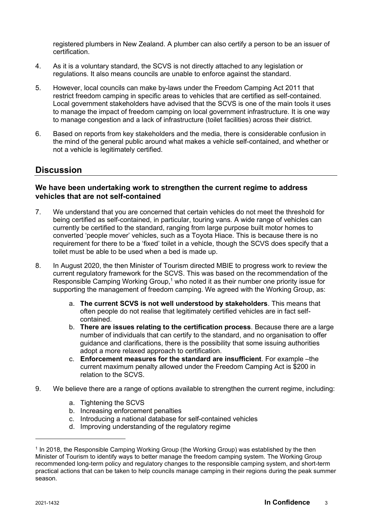registered plumbers in New Zealand. A plumber can also certify a person to be an issuer of certification.

- 4. As it is a voluntary standard, the SCVS is not directly attached to any legislation or regulations. It also means councils are unable to enforce against the standard.
- 5. However, local councils can make by-laws under the Freedom Camping Act 2011 that restrict freedom camping in specific areas to vehicles that are certified as self-contained. Local government stakeholders have advised that the SCVS is one of the main tools it uses to manage the impact of freedom camping on local government infrastructure. It is one way to manage congestion and a lack of infrastructure (toilet facilities) across their district.
- 6. Based on reports from key stakeholders and the media, there is considerable confusion in the mind of the general public around what makes a vehicle self-contained, and whether or not a vehicle is legitimately certified.

## **Discussion**

### **We have been undertaking work to strengthen the current regime to address vehicles that are not self-contained**

- 7. We understand that you are concerned that certain vehicles do not meet the threshold for being certified as self-contained, in particular, touring vans. A wide range of vehicles can currently be certified to the standard, ranging from large purpose built motor homes to converted 'people mover' vehicles, such as a Toyota Hiace. This is because there is no requirement for there to be a 'fixed' toilet in a vehicle, though the SCVS does specify that a toilet must be able to be used when a bed is made up.
- 8. In August 2020, the then Minister of Tourism directed MBIE to progress work to review the current regulatory framework for the SCVS. This was based on the recommendation of the Responsible Camping Working Group,<sup>1</sup> who noted it as their number one priority issue for supporting the management of freedom camping. We agreed with the Working Group, as:
	- a. **The current SCVS is not well understood by stakeholders**. This means that often people do not realise that legitimately certified vehicles are in fact selfcontained.
	- b. **There are issues relating to the certification process**. Because there are a large number of individuals that can certify to the standard, and no organisation to offer guidance and clarifications, there is the possibility that some issuing authorities adopt a more relaxed approach to certification.
	- c. **Enforcement measures for the standard are insufficient**. For example –the current maximum penalty allowed under the Freedom Camping Act is \$200 in relation to the SCVS.
- 9. We believe there are a range of options available to strengthen the current regime, including:
	- a. Tightening the SCVS
	- b. Increasing enforcement penalties
	- c. Introducing a national database for self-contained vehicles
	- d. Improving understanding of the regulatory regime

<sup>1</sup> In 2018, the Responsible Camping Working Group (the Working Group) was established by the then Minister of Tourism to identify ways to better manage the freedom camping system. The Working Group recommended long-term policy and regulatory changes to the responsible camping system, and short-term practical actions that can be taken to help councils manage camping in their regions during the peak summer season.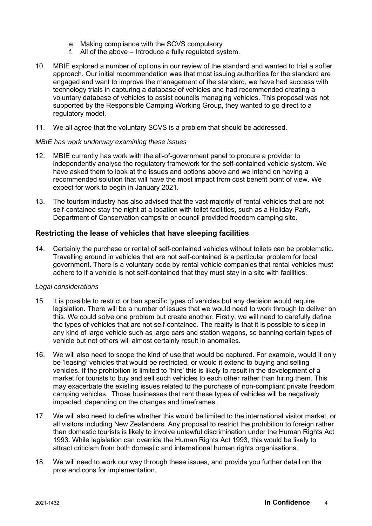- e. Making compliance with the SCVS compulsory
- f. All of the above Introduce a fully regulated system.
- 10. MBIE explored a number of options in our review of the standard and wanted to trial a softer approach. Our initial recommendation was that most issuing authorities for the standard are engaged and want to improve the management of the standard, we have had success with technology trials in capturing a database of vehicles and had recommended creating a voluntary database of vehicles to assist councils managing vehicles. This proposal was not supported by the Responsible Camping Working Group, they wanted to go direct to a regulatory model.
- 11. We all agree that the voluntary SCVS is a problem that should be addressed.

#### *MBIE has work underway examining these issues*

- 12. MBIE currently has work with the all-of-government panel to procure a provider to independently analyse the regulatory framework for the self-contained vehicle system. We have asked them to look at the issues and options above and we intend on having a recommended solution that will have the most impact from cost benefit point of view. We expect for work to begin in January 2021.
- 13. The tourism industry has also advised that the vast majority of rental vehicles that are not self-contained stay the night at a location with toilet facilities, such as a Holiday Park, Department of Conservation campsite or council provided freedom camping site.

#### **Restricting the lease of vehicles that have sleeping facilities**

14. Certainly the purchase or rental of self-contained vehicles without toilets can be problematic. Travelling around in vehicles that are not self-contained is a particular problem for local government. There is a voluntary code by rental vehicle companies that rental vehicles must adhere to if a vehicle is not self-contained that they must stay in a site with facilities.

#### *Legal considerations*

- 15. It is possible to restrict or ban specific types of vehicles but any decision would require legislation. There will be a number of issues that we would need to work through to deliver on this. We could solve one problem but create another. Firstly, we will need to carefully define the types of vehicles that are not self-contained. The reality is that it is possible to sleep in any kind of large vehicle such as large cars and station wagons, so banning certain types of vehicle but not others will almost certainly result in anomalies.
- 16. We will also need to scope the kind of use that would be captured. For example, would it only be 'leasing' vehicles that would be restricted, or would it extend to buying and selling vehicles. If the prohibition is limited to "hire' this is likely to result in the development of a market for tourists to buy and sell such vehicles to each other rather than hiring them. This may exacerbate the existing issues related to the purchase of non-compliant private freedom camping vehicles. Those businesses that rent these types of vehicles will be negatively impacted, depending on the changes and timeframes.
- 17. We will also need to define whether this would be limited to the international visitor market, or all visitors including New Zealanders. Any proposal to restrict the prohibition to foreign rather than domestic tourists is likely to involve unlawful discrimination under the Human Rights Act 1993. While legislation can override the Human Rights Act 1993, this would be likely to attract criticism from both domestic and international human rights organisations.
- 18. We will need to work our way through these issues, and provide you further detail on the pros and cons for implementation.